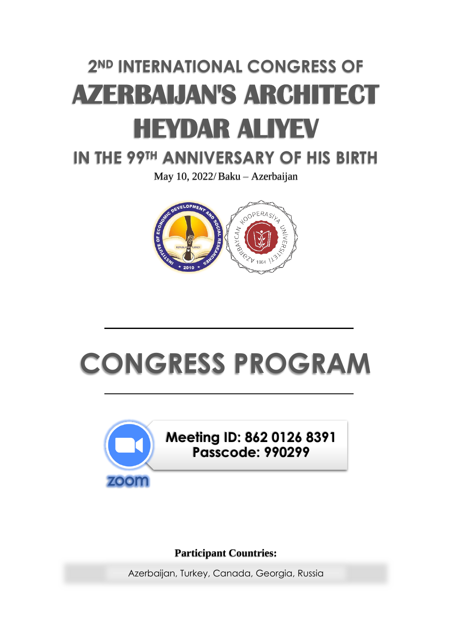# **2ND INTERNATIONAL CONGRESS OF AZERBAIJAN'S ARCHITECT HEYDAR ALIYEV**

# **IN THE 99TH ANNIVERSARY OF HIS BIRTH**

May 10, 2022/Baku – Azerbaijan



# **CONGRESS PROGRAM**



# **Meeting ID: 862 0126 8391 Passcode: 990299**

# **Participant Countries:**

Azerbaijan, Turkey, Canada, Georgia, Russia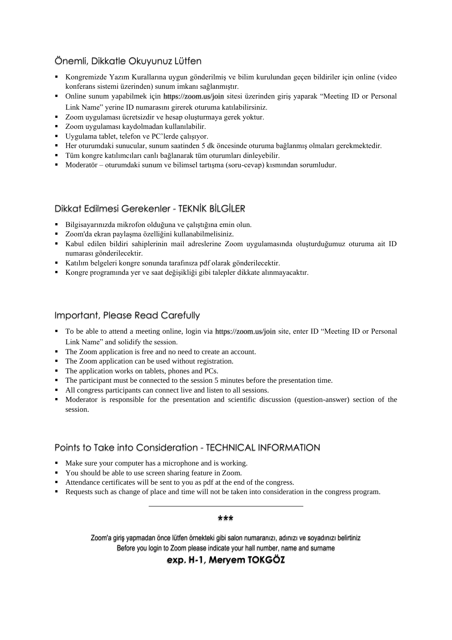# Önemli, Dikkatle Okuyunuz Lütfen

- Kongremizde Yazım Kurallarına uygun gönderilmiş ve bilim kurulundan geçen bildiriler için online (video konferans sistemi üzerinden) sunum imkanı sağlanmıştır.
- Online sunum yapabilmek için https://zoom.us/join sitesi üzerinden giriş yaparak "Meeting ID or Personal Link Name" yerine ID numarasını girerek oturuma katılabilirsiniz.
- Zoom uygulaması ücretsizdir ve hesap oluşturmaya gerek yoktur.
- Zoom uygulaması kaydolmadan kullanılabilir.
- Uygulama tablet, telefon ve PC'lerde çalışıyor.
- Her oturumdaki sunucular, sunum saatinden 5 dk öncesinde oturuma bağlanmış olmaları gerekmektedir.
- Tüm kongre katılımcıları canlı bağlanarak tüm oturumları dinleyebilir.
- Moderatör oturumdaki sunum ve bilimsel tartışma (soru-cevap) kısmından sorumludur.

## Dikkat Edilmesi Gerekenler - TEKNİK BİLGİLER

- Bilgisayarınızda mikrofon olduğuna ve çalıştığına emin olun.
- Zoom'da ekran paylaşma özelliğini kullanabilmelisiniz.
- Kabul edilen bildiri sahiplerinin mail adreslerine Zoom uygulamasında oluşturduğumuz oturuma ait ID numarası gönderilecektir.
- Katılım belgeleri kongre sonunda tarafınıza pdf olarak gönderilecektir.
- Kongre programında yer ve saat değişikliği gibi talepler dikkate alınmayacaktır.

### Important, Please Read Carefully

- To be able to attend a meeting online, login via https://zoom.us/join site, enter ID "Meeting ID or Personal Link Name" and solidify the session.
- The Zoom application is free and no need to create an account.
- The Zoom application can be used without registration.
- The application works on tablets, phones and PCs.
- The participant must be connected to the session 5 minutes before the presentation time.
- All congress participants can connect live and listen to all sessions.
- Moderator is responsible for the presentation and scientific discussion (question-answer) section of the session.

## Points to Take into Consideration - TECHNICAL INFORMATION

- Make sure your computer has a microphone and is working.
- You should be able to use screen sharing feature in Zoom.
- Attendance certificates will be sent to you as pdf at the end of the congress.
- Requests such as change of place and time will not be taken into consideration in the congress program.

#### \*\*\*

Zoom'a giriş yapmadan önce lütfen örnekteki gibi salon numaranızı, adınızı ve soyadınızı belirtiniz Before you login to Zoom please indicate your hall number, name and surname

## **exp. H-1, Meryem TOKGÖZ**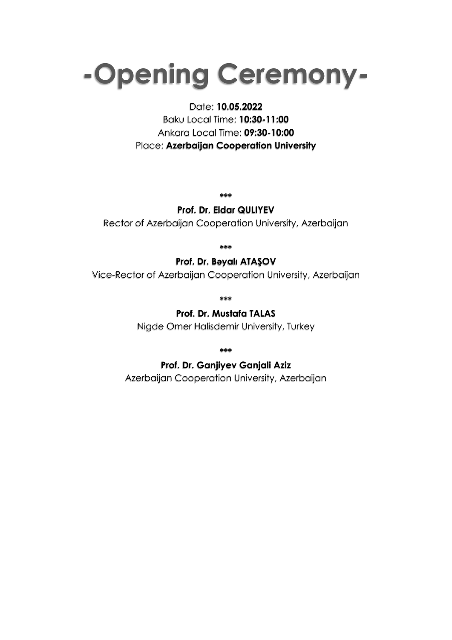# **-Opening Ceremony-**

# Date: **10.05.2022**

Baku Local Time: **10:30-11:00** Ankara Local Time: **09:30-10:00** Place: **Azerbaijan Cooperation University**

**\*\*\***

# **Prof. Dr. Eldar QULIYEV**

Rector of Azerbaijan Cooperation University, Azerbaijan

**\*\*\***

# **Prof. Dr. Bəyalı ATAŞOV**

Vice-Rector of Azerbaijan Cooperation University, Azerbaijan

**\*\*\***

# **Prof. Dr. Mustafa TALAS**

Nigde Omer Halisdemir University, Turkey

**\*\*\***

# **Prof. Dr. Ganjiyev Ganjali Aziz**

Azerbaijan Cooperation University, Azerbaijan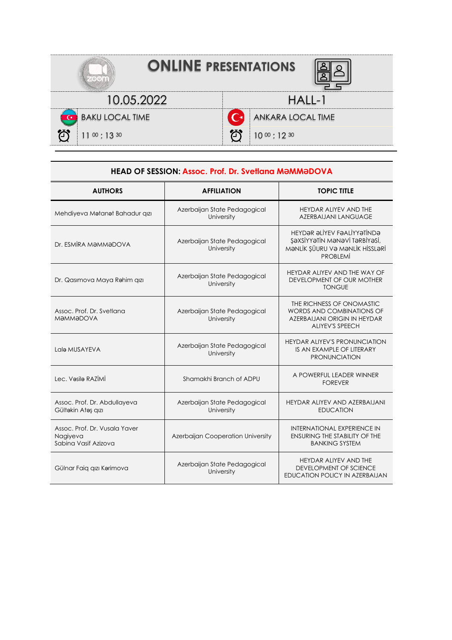| <b>ONLINE PRESENTATIONS</b> |                   |  |  |
|-----------------------------|-------------------|--|--|
| 10.05.2022                  | $HAII-1$          |  |  |
| <b>BAKU LOCAL TIME</b>      | ANKARA LOCAL TIME |  |  |
| $11^{00}$ : 13 30           | $10^{00}$ : 12 30 |  |  |

| <b>HEAD OF SESSION: Assoc. Prof. Dr. Svetlana MƏMMƏDOVA</b>       |                                            |                                                                                                                                |
|-------------------------------------------------------------------|--------------------------------------------|--------------------------------------------------------------------------------------------------------------------------------|
| <b>AUTHORS</b>                                                    | <b>AFFILIATION</b>                         | <b>TOPIC TITLE</b>                                                                                                             |
| Mehdiyeva Matanat Bahadur qızı                                    | Azerbaijan State Pedagogical<br>University | <b>HEYDAR ALIYEV AND THE</b><br><b>AZERBAIJANI LANGUAGE</b>                                                                    |
| Dr. ESMİRA MƏMMƏDOVA                                              | Azerbaijan State Pedagogical<br>University | HEYDƏR ƏLİYEV FƏALİYYƏTİNDƏ<br>ŞƏXSİYYƏTİN MƏNƏVİ TƏRBİYƏSİ,<br>MƏNLİK ŞÜURU VƏ MƏNLİK HİSSLƏRİ<br><b>PROBLEMİ</b>             |
| Dr. Qasımova Maya Rahim qızı                                      | Azerbaijan State Pedagogical<br>University | HEYDAR ALIYEV AND THE WAY OF<br>DEVELOPMENT OF OUR MOTHER<br><b>TONGUE</b>                                                     |
| Assoc. Prof. Dr. Svetlana<br>MƏMMƏDOVA                            | Azerbaijan State Pedagogical<br>University | THE RICHNESS OF ONOMASTIC<br><b>WORDS AND COMBINATIONS OF</b><br><b>AZERBAIJANI ORIGIN IN HEYDAR</b><br><b>ALIYEV'S SPEECH</b> |
| Lala MUSAYEVA                                                     | Azerbaijan State Pedagogical<br>University | <b>HEYDAR ALIYEV'S PRONUNCIATION</b><br>IS AN EXAMPLE OF LITERARY<br><b>PRONUNCIATION</b>                                      |
| Lec. Vasila RAZİMİ                                                | Shamakhi Branch of ADPU                    | A POWERFUL LEADER WINNER<br><b>FOREVER</b>                                                                                     |
| Assoc. Prof. Dr. Abdullayeva<br>Gültəkin Atəş qızı                | Azerbaijan State Pedagogical<br>University | HEYDAR ALIYEV AND AZERBAIJANI<br><b>EDUCATION</b>                                                                              |
| Assoc. Prof. Dr. Vusala Yaver<br>Nagiyeva<br>Sabina Vasif Azizova | Azerbaijan Cooperation University          | <b>INTERNATIONAL EXPERIENCE IN</b><br><b>ENSURING THE STABILITY OF THE</b><br><b>BANKING SYSTEM</b>                            |
| Gülnar Faiq qızı Karimova                                         | Azerbaijan State Pedagogical<br>University | <b>HEYDAR ALIYEV AND THE</b><br>DEVELOPMENT OF SCIENCE<br>EDUCATION POLICY IN AZERBALJAN                                       |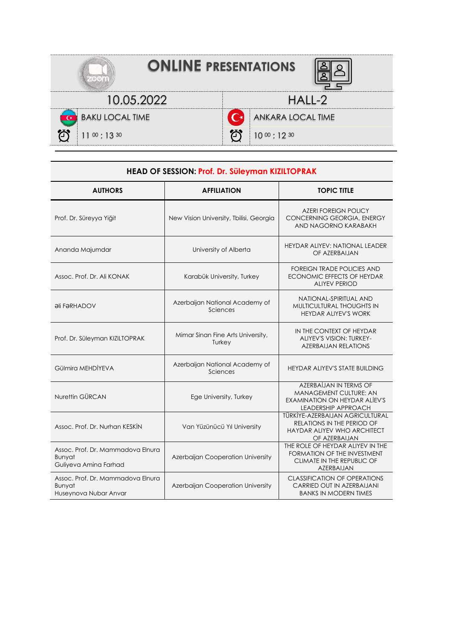| <b>ONLINE PRESENTATIONS</b> |                                |  |
|-----------------------------|--------------------------------|--|
| 10.05.2022                  | $HAII-2$                       |  |
| <b>BAKU LOCAL TIME</b>      | <b>AB</b><br>ANKARA LOCAL TIME |  |
| $11^{00}$ : 13 30           | $10^{00}$ : 12 30              |  |

| HEAD OF SESSION: Prof. Dr. Süleyman KIZILTOPRAK                      |                                             |                                                                                                                      |
|----------------------------------------------------------------------|---------------------------------------------|----------------------------------------------------------------------------------------------------------------------|
| <b>AUTHORS</b>                                                       | <b>AFFILIATION</b>                          | <b>TOPIC TITLE</b>                                                                                                   |
| Prof. Dr. Süreyya Yiğit                                              | New Vision University, Tbilisi, Georgia     | <b>AZERI FOREIGN POLICY</b><br>CONCERNING GEORGIA, ENERGY<br>AND NAGORNO KARABAKH                                    |
| Ananda Majumdar                                                      | University of Alberta                       | <b>HEYDAR ALIYEV: NATIONAL LEADER</b><br>OF AZERBAIJAN                                                               |
| Assoc. Prof. Dr. Ali KONAK                                           | Karabük University, Turkey                  | <b>FOREIGN TRADE POLICIES AND</b><br><b>ECONOMIC EFFECTS OF HEYDAR</b><br><b>ALIYEV PERIOD</b>                       |
| <b><i><u>OII FORHADOV</u></i></b>                                    | Azerbaijan National Academy of<br>Sciences  | NATIONAL-SPIRITUAL AND<br>MULTICULTURAL THOUGHTS IN<br><b>HEYDAR ALIYEV'S WORK</b>                                   |
| Prof. Dr. Süleyman KIZILTOPRAK                                       | Mimar Sinan Fine Arts University,<br>Turkey | IN THE CONTEXT OF HEYDAR<br>ALIYEV'S VISION: TURKEY-<br><b>AZERBAIJAN RELATIONS</b>                                  |
| Gülmira MEHDİYEVA                                                    | Azerbaijan National Academy of<br>Sciences  | <b>HEYDAR ALIYEV'S STATE BUILDING</b>                                                                                |
| Nurettin GÜRCAN                                                      | Ege University, Turkey                      | AZERBAİJAN IN TERMS OF<br>MANAGEMENT CULTURE: AN<br>EXAMINATION ON HEYDAR ALIEV'S<br><b>LEADERSHIP APPROACH</b>      |
| Assoc. Prof. Dr. Nurhan KESKİN                                       | Van Yüzünücü Yıl University                 | TÜRKİYE-AZERBAIJAN AGRICULTURAL<br><b>RELATIONS IN THE PERIOD OF</b><br>HAYDAR ALIYEV WHO ARCHITECT<br>OF AZERBAIJAN |
| Assoc. Prof. Dr. Mammadova Elnura<br>Bunyat<br>Guliyeva Amina Farhad | Azerbaijan Cooperation University           | THE ROLE OF HEYDAR ALIYEV IN THE<br>FORMATION OF THE INVESTMENT<br>CLIMATE IN THE REPUBLIC OF<br>AZERBAIJAN          |
| Assoc. Prof. Dr. Mammadova Elnura<br>Bunyat<br>Huseynova Nubar Anvar | Azerbaijan Cooperation University           | <b>CLASSIFICATION OF OPERATIONS</b><br>CARRIED OUT IN AZERBAIJANI<br><b>BANKS IN MODERN TIMES</b>                    |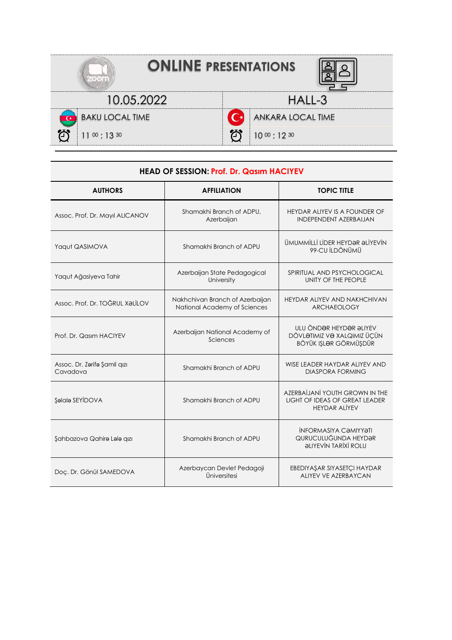| <b>ONLINE PRESENTATIONS</b> |                        |  |
|-----------------------------|------------------------|--|
| 10.05.2022                  | $HAI1-3$               |  |
| <b>BAKU LOCAL TIME</b>      | ANKARA LOCAL TIME      |  |
| $11^{00}$ : 13 30           | 个<br>$10^{00}$ : 12 30 |  |

| <b>HEAD OF SESSION: Prof. Dr. Qasim HACIYEV</b> |                                                                                                  |                                                                                                   |
|-------------------------------------------------|--------------------------------------------------------------------------------------------------|---------------------------------------------------------------------------------------------------|
| <b>AUTHORS</b>                                  | <b>AFFILIATION</b>                                                                               | <b>TOPIC TITLE</b>                                                                                |
| Assoc. Prof. Dr. Mayıl ALICANOV                 | Shamakhi Branch of ADPU,<br>Azerbaijan                                                           | HEYDAR ALIYEV IS A FOUNDER OF<br><b>INDEPENDENT AZERBAIJAN</b>                                    |
| Yaqut QASIMOVA                                  | Shamakhi Branch of ADPU                                                                          | ÜMUMMİLLİ LİDER HEYDƏR ƏLİYEVİN<br>99-CU İLDÖNÜMÜ                                                 |
| Yaqut Ağasiyeva Tahir                           | Azerbaijan State Pedagogical<br>SPIRITUAL AND PSYCHOLOGICAL<br>University<br>UNITY OF THE PEOPLE |                                                                                                   |
| Assoc. Prof. Dr. TOĞRUL XƏLİLOV                 | Nakhchivan Branch of Azerbaijan<br>National Academy of Sciences                                  | HEYDAR ALIYEV AND NAKHCHIVAN<br><b>ARCHAEOLOGY</b>                                                |
| Prof. Dr. Qasım HACIYEV                         | Azerbaijan National Academy of<br>Sciences                                                       | ULU ÖNDƏR HEYDƏR ƏLIYEV<br>DÖVLƏTIMIZ VƏ XALQIMIZ ÜÇÜN<br>BÖYÜK IŞLƏR GÖRMÜŞDÜR                   |
| Assoc. Dr. Zarifa Şamil qızı<br>Cavadova        | Shamakhi Branch of ADPU                                                                          | WISE LEADER HAYDAR ALIYEV AND<br><b>DIASPORA FORMING</b>                                          |
| Şəlalə SEYİDOVA                                 | Shamakhi Branch of ADPU                                                                          | AZERBAİJANİ YOUTH GROWN IN THE<br><b>LIGHT OF IDEAS OF GREAT LEADER</b><br><b>HEYDAR ALIYEV</b>   |
| Şahbazova Qahirə Lala qızı                      | Shamakhi Branch of ADPU                                                                          | <b>INFORMASIYA CƏMIYYƏTI</b><br>QURUCULUĞUNDA HEYDƏR<br><b><i><u>ALIYEVIN TARIXI ROLU</u></i></b> |
| Doç. Dr. Gönül SAMEDOVA                         | Azerbaycan Devlet Pedagoji<br>Üniversitesi                                                       | EBEDIYAŞAR SIYASETÇI HAYDAR<br>ALIYEV VE AZERBAYCAN                                               |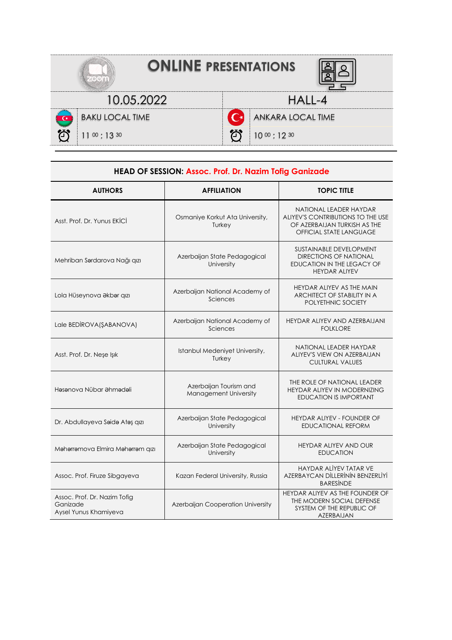| <b>ONLINE PRESENTATIONS</b> |                   |  |
|-----------------------------|-------------------|--|
| 10.05.2022                  | $HAII -4$         |  |
| <b>BAKU LOCAL TIME</b>      | ANKARA LOCAL TIME |  |
| 11 $\omega$ : 13 $\omega$   | $10^{00}$ : 12 30 |  |

| HEAD OF SESSION: Assoc. Prof. Dr. Nazim Tofig Ganizade            |                                                 |                                                                                                                               |
|-------------------------------------------------------------------|-------------------------------------------------|-------------------------------------------------------------------------------------------------------------------------------|
| <b>AUTHORS</b>                                                    | <b>AFFILIATION</b>                              | <b>TOPIC TITLE</b>                                                                                                            |
| Asst. Prof. Dr. Yunus EKİCİ                                       | Osmaniye Korkut Ata University,<br>Turkey       | NATIONAL LEADER HAYDAR<br>ALIYEV'S CONTRIBUTIONS TO THE USE<br>OF AZERBAIJAN TURKISH AS THE<br><b>OFFICIAL STATE LANGUAGE</b> |
| Mehriban Sardarova Nağı qızı                                      | Azerbaijan State Pedagogical<br>University      | <b>SUSTAINABLE DEVELOPMENT</b><br><b>DIRECTIONS OF NATIONAL</b><br>EDUCATION IN THE LEGACY OF<br><b>HEYDAR ALIYEV</b>         |
| Lola Hüseynova Əkbər qızı                                         | Azerbaijan National Academy of<br>Sciences      | HEYDAR ALIYEV AS THE MAIN<br>ARCHITECT OF STABILITY IN A<br><b>POLYETHNIC SOCIETY</b>                                         |
| Lale BEDİROVA(ŞABANOVA)                                           | Azerbaijan National Academy of<br>Sciences      | HEYDAR ALIYEV AND AZERBAIJANI<br><b>FOLKLORE</b>                                                                              |
| Asst. Prof. Dr. Neşe Işık                                         | Istanbul Medeniyet University,<br>Turkey        | NATIONAL LEADER HAYDAR<br>ALIYEV'S VIEW ON AZERBAIJAN<br><b>CULTURAL VALUES</b>                                               |
| Həsənova Nübar Əhmədəli                                           | Azerbaijan Tourism and<br>Management University | THE ROLE OF NATIONAL LEADER<br><b>HEYDAR ALIYEV IN MODERNIZING</b><br><b>EDUCATION IS IMPORTANT</b>                           |
| Dr. Abdullayeva Saida Atas qızı                                   | Azerbaijan State Pedagogical<br>University      | <b>HEYDAR ALIYEV - FOUNDER OF</b><br><b>EDUCATIONAL REFORM</b>                                                                |
| Maharramova Elmira Maharram qızı                                  | Azerbaijan State Pedagogical<br>University      | HEYDAR ALIYEV AND OUR<br><b>EDUCATION</b>                                                                                     |
| Assoc. Prof. Firuze Sibgayeva                                     | Kazan Federal University, Russia                | HAYDAR ALİYEV TATAR VE<br>AZERBAYCAN DİLLERİNİN BENZERLİYİ<br><b>BARESINDE</b>                                                |
| Assoc. Prof. Dr. Nazim Tofig<br>Ganizade<br>Aysel Yunus Khamiyeva | Azerbaijan Cooperation University               | HEYDAR ALIYEV AS THE FOUNDER OF<br>THE MODERN SOCIAL DEFENSE<br>SYSTEM OF THE REPUBLIC OF<br>AZERBAIJAN                       |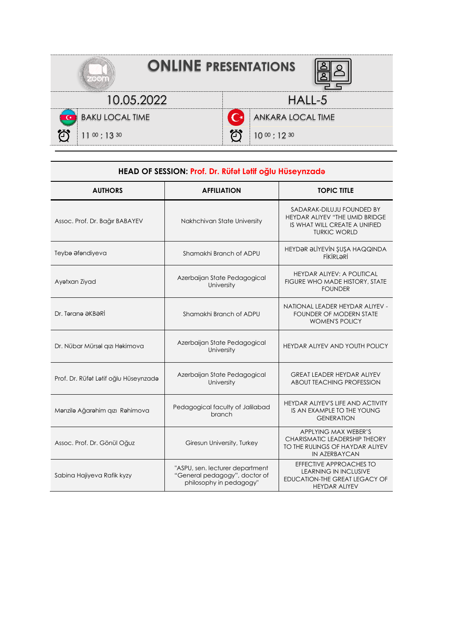| <b>ONLINE PRESENTATIONS</b> |                                  |  |  |
|-----------------------------|----------------------------------|--|--|
| 10.05.2022                  | $HAII - 5$                       |  |  |
| <b>C</b> BAKU LOCAL TIME    | ANKARA LOCAL TIME<br>$($ $\star$ |  |  |
| $11^{00}$ : 13 30           | <u>්ර</u><br>$10^{00}$ : 12 30   |  |  |

| HEAD OF SESSION: Prof. Dr. Rüfet Letif oğlu Hüseynzade |                                                                                             |                                                                                                                     |  |
|--------------------------------------------------------|---------------------------------------------------------------------------------------------|---------------------------------------------------------------------------------------------------------------------|--|
| <b>AUTHORS</b>                                         | <b>AFFILIATION</b>                                                                          | <b>TOPIC TITLE</b>                                                                                                  |  |
| Assoc. Prof. Dr. Bağır BABAYEV                         | Nakhchivan State University                                                                 | SADARAK-DILUJU FOUNDED BY<br>HEYDAR ALIYEV "THE UMID BRIDGE<br>IS WHAT WILL CREATE A UNIFIED<br><b>TURKIC WORLD</b> |  |
| Teyba afandiyeva                                       | Shamakhi Branch of ADPU                                                                     | HEYDƏR ƏLİYEVİN ŞUŞA HAQQINDA<br><b>FİKİRLƏRİ</b>                                                                   |  |
| Ayatxan Ziyad                                          | Azerbaijan State Pedagogical<br>University                                                  | <b>HEYDAR ALIYEV: A POLITICAL</b><br>FIGURE WHO MADE HISTORY, STATE<br><b>FOUNDER</b>                               |  |
| Dr. Təranə ƏKBƏRİ                                      | Shamakhi Branch of ADPU                                                                     | NATIONAL LEADER HEYDAR ALIYEV -<br><b>FOUNDER OF MODERN STATE</b><br><b>WOMEN'S POLICY</b>                          |  |
| Dr. Nübar Mürsəl qızı Həkimova                         | Azerbaijan State Pedagogical<br>University                                                  | HEYDAR ALIYEV AND YOUTH POLICY                                                                                      |  |
| Prof. Dr. Rüfet Latif oğlu Hüseynzada                  | Azerbaijan State Pedagogical<br>University                                                  | <b>GREAT LEADER HEYDAR ALIYEV</b><br><b>ABOUT TEACHING PROFESSION</b>                                               |  |
| Manzila Ağarahim qızı Rahimova                         | Pedagogical faculty of Jalilabad<br>branch                                                  | HEYDAR ALIYEV'S LIFE AND ACTIVITY<br>IS AN EXAMPLE TO THE YOUNG<br><b>GENERATION</b>                                |  |
| Assoc. Prof. Dr. Gönül Oğuz                            | Giresun University, Turkey                                                                  | APPLYING MAX WEBER'S<br>CHARISMATIC LEADERSHIP THEORY<br>TO THE RULINGS OF HAYDAR ALIYEV<br><b>IN AZERBAYCAN</b>    |  |
| Sabina Hajiyeva Rafik kyzy                             | "ASPU, sen. lecturer department<br>"General pedagogy", doctor of<br>philosophy in pedagogy" | EFFECTIVE APPROACHES TO<br><b>LEARNING IN INCLUSIVE</b><br>EDUCATION-THE GREAT LEGACY OF<br><b>HEYDAR ALIYEV</b>    |  |